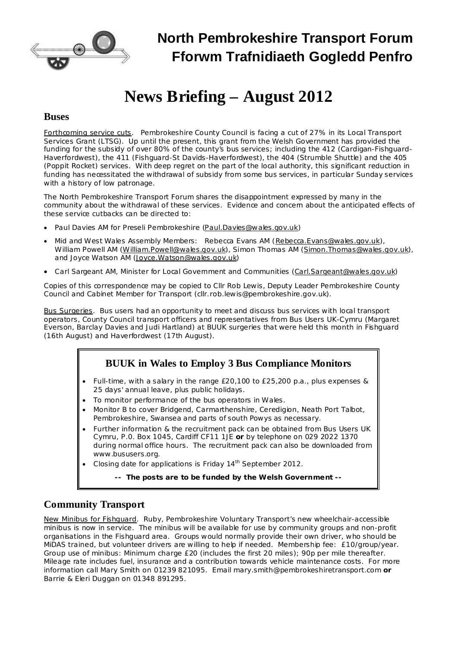

## **North Pembrokeshire Transport Forum Fforwm Trafnidiaeth Gogledd Penfro**

# **News Briefing – August 2012**

#### **Buses**

Forthcoming service cuts. Pembrokeshire County Council is facing a cut of 27% in its Local Transport Services Grant (LTSG). Up until the present, this grant from the Welsh Government has provided the funding for the subsidy of over 80% of the county's bus services; including the 412 (Cardigan-Fishguard-Haverfordwest), the 411 (Fishguard-St Davids-Haverfordwest), the 404 (Strumble Shuttle) and the 405 (Poppit Rocket) services. With deep regret on the part of the local authority, this significant reduction in funding has necessitated the withdrawal of subsidy from some bus services, in particular Sunday services with a history of low patronage.

The North Pembrokeshire Transport Forum shares the disappointment expressed by many in the community about the withdrawal of these services. Evidence and concern about the anticipated effects of these service cutbacks can be directed to:

- Paul Davies AM for Preseli Pembrokeshire [\(Paul.Davies@wales.gov.uk\)](mailto:Paul.Davies@wales.gov.uk)
- Mid and West Wales Assembly Members: Rebecca Evans AM ([Rebecca.Evans@wales.gov.uk\)](mailto:Rebecca.Evans@wales.gov.uk), William Powell AM ([William.Powell@wales.gov.uk\)](mailto:William.Powell@wales.gov.uk), Simon Thomas AM [\(Simon.Thomas@wales.gov.uk\)](mailto:Simon.Thomas@wales.gov.uk), and Joyce Watson AM [\(Joyce.Watson@wales.gov.uk\)](mailto:Joyce.Watson@wales.gov.uk)
- · Carl Sargeant AM, Minister for Local Government and Communities [\(Carl.Sargeant@wales.gov.uk\)](mailto:Carl.Sargeant@wales.gov.uk)

Copies of this correspondence may be copied to Cllr Rob Lewis, Deputy Leader Pembrokeshire County Council and Cabinet Member for Transport ([cllr.rob.lewis@pembrokeshire.gov.uk\)](mailto:cllr.rob.lewis@pembrokeshire.gov.uk).

Bus Surgeries. Bus users had an opportunity to meet and discuss bus services with local transport operators, County Council transport officers and representatives from Bus Users UK-Cymru (Margaret Everson, Barclay Davies and Judi Hartland) at BUUK surgeries that were held this month in Fishguard (16th August) and Haverfordwest (17th August).

#### **BUUK in Wales to Employ 3 Bus Compliance Monitors**

- Full-time, with a salary in the range £20,100 to £25,200 p.a., plus expenses & 25 days' annual leave, plus public holidays.
- To monitor performance of the bus operators in Wales.
- · Monitor B to cover Bridgend, Carmarthenshire, Ceredigion, Neath Port Talbot, Pembrokeshire, Swansea and parts of south Powys as necessary.
- Further information & the recruitment pack can be obtained from Bus Users UK Cymru, P.0. Box 1045, Cardiff CF11 1JE *or* by telephone on 029 2022 1370 during normal office hours. The recruitment pack can also be downloaded from [www.bususers.org.](http://www.bususers.org/)
- Closing date for applications is Friday 14<sup>th</sup> September 2012.
	- **-- The posts are to be funded by the Welsh Government --**

#### **Community Transport**

New Minibus for Fishguard. Ruby, Pembrokeshire Voluntary Transport's new wheelchair-accessible minibus is now in service. The minibus will be available for use by community groups and non-profit organisations in the Fishguard area. Groups would normally provide their own driver, who should be MiDAS trained, but volunteer drivers are willing to help if needed. Membership fee: £10/group/year. Group use of minibus: Minimum charge £20 (includes the first 20 miles); 90p per mile thereafter. Mileage rate includes fuel, insurance and a contribution towards vehicle maintenance costs. For more information call Mary Smith on 01239 821095. Email [mary.smith@pembrokeshiretransport.com](mailto:mary.smith@pembrokeshiretransport.com) *or* Barrie & Eleri Duggan on 01348 891295.